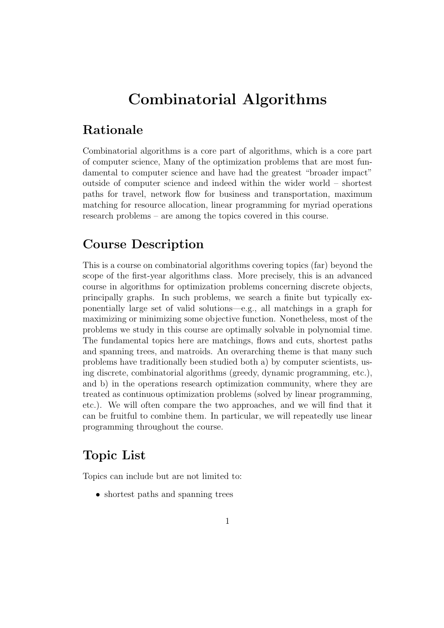# Combinatorial Algorithms

#### Rationale

Combinatorial algorithms is a core part of algorithms, which is a core part of computer science, Many of the optimization problems that are most fundamental to computer science and have had the greatest "broader impact" outside of computer science and indeed within the wider world – shortest paths for travel, network flow for business and transportation, maximum matching for resource allocation, linear programming for myriad operations research problems – are among the topics covered in this course.

#### Course Description

This is a course on combinatorial algorithms covering topics (far) beyond the scope of the first-year algorithms class. More precisely, this is an advanced course in algorithms for optimization problems concerning discrete objects, principally graphs. In such problems, we search a finite but typically exponentially large set of valid solutions—e.g., all matchings in a graph for maximizing or minimizing some objective function. Nonetheless, most of the problems we study in this course are optimally solvable in polynomial time. The fundamental topics here are matchings, flows and cuts, shortest paths and spanning trees, and matroids. An overarching theme is that many such problems have traditionally been studied both a) by computer scientists, using discrete, combinatorial algorithms (greedy, dynamic programming, etc.), and b) in the operations research optimization community, where they are treated as continuous optimization problems (solved by linear programming, etc.). We will often compare the two approaches, and we will find that it can be fruitful to combine them. In particular, we will repeatedly use linear programming throughout the course.

#### Topic List

Topics can include but are not limited to:

• shortest paths and spanning trees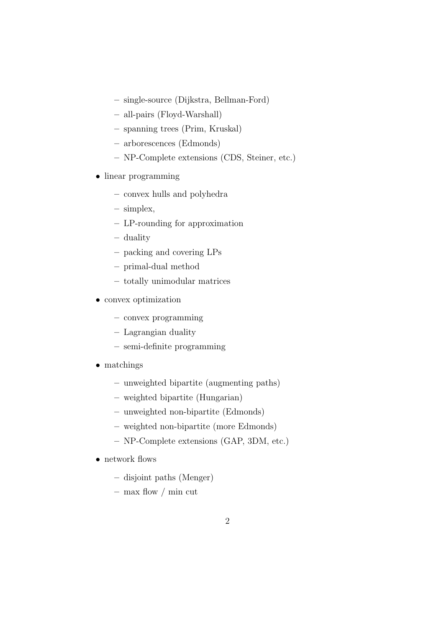- single-source (Dijkstra, Bellman-Ford)
- all-pairs (Floyd-Warshall)
- spanning trees (Prim, Kruskal)
- arborescences (Edmonds)
- NP-Complete extensions (CDS, Steiner, etc.)
- linear programming
	- convex hulls and polyhedra
	- simplex,
	- LP-rounding for approximation
	- duality
	- packing and covering LPs
	- primal-dual method
	- totally unimodular matrices
- convex optimization
	- convex programming
	- Lagrangian duality
	- semi-definite programming
- matchings
	- unweighted bipartite (augmenting paths)
	- weighted bipartite (Hungarian)
	- unweighted non-bipartite (Edmonds)
	- weighted non-bipartite (more Edmonds)
	- NP-Complete extensions (GAP, 3DM, etc.)
- network flows
	- disjoint paths (Menger)
	- $-$  max flow / min cut